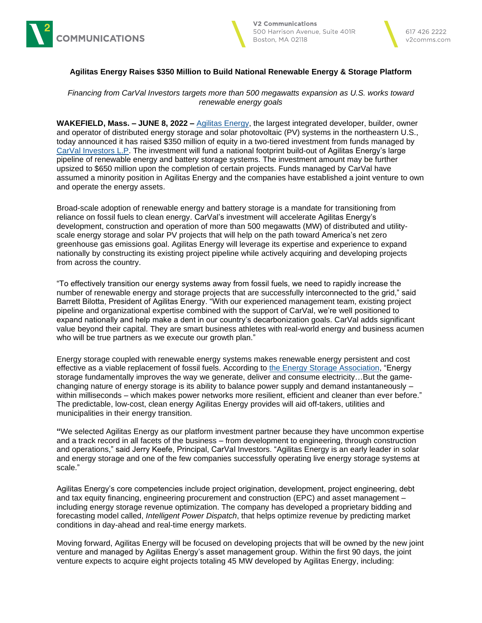





## **Agilitas Energy Raises \$350 Million to Build National Renewable Energy & Storage Platform**

*Financing from CarVal Investors targets more than 500 megawatts expansion as U.S. works toward renewable energy goals*

**WAKEFIELD, Mass. – JUNE 8, 2022 –** [Agilitas Energy,](https://agilitasenergy.com/) the largest integrated developer, builder, owner and operator of distributed energy storage and solar photovoltaic (PV) systems in the northeastern U.S., today announced it has raised \$350 million of equity in a two-tiered investment from funds managed by [CarVal Investors L.P.](https://carvalinvestors.com/) The investment will fund a national footprint build-out of Agilitas Energy's large pipeline of renewable energy and battery storage systems. The investment amount may be further upsized to \$650 million upon the completion of certain projects. Funds managed by CarVal have assumed a minority position in Agilitas Energy and the companies have established a joint venture to own and operate the energy assets.

Broad-scale adoption of renewable energy and battery storage is a mandate for transitioning from reliance on fossil fuels to clean energy. CarVal's investment will accelerate Agilitas Energy's development, construction and operation of more than 500 megawatts (MW) of distributed and utilityscale energy storage and solar PV projects that will help on the path toward America's net zero greenhouse gas emissions goal. Agilitas Energy will leverage its expertise and experience to expand nationally by constructing its existing project pipeline while actively acquiring and developing projects from across the country.

"To effectively transition our energy systems away from fossil fuels, we need to rapidly increase the number of renewable energy and storage projects that are successfully interconnected to the grid," said Barrett Bilotta, President of Agilitas Energy. "With our experienced management team, existing project pipeline and organizational expertise combined with the support of CarVal, we're well positioned to expand nationally and help make a dent in our country's decarbonization goals. CarVal adds significant value beyond their capital. They are smart business athletes with real-world energy and business acumen who will be true partners as we execute our growth plan."

Energy storage coupled with renewable energy systems makes renewable energy persistent and cost effective as a viable replacement of fossil fuels. According to [the Energy Storage Association,](https://energystorage.org/resources/thought-leadership/faqs/) "Energy storage fundamentally improves the way we generate, deliver and consume electricity...But the gamechanging nature of energy storage is its ability to balance power supply and demand instantaneously – within milliseconds – which makes power networks more resilient, efficient and cleaner than ever before." The predictable, low-cost, clean energy Agilitas Energy provides will aid off-takers, utilities and municipalities in their energy transition.

**"**We selected Agilitas Energy as our platform investment partner because they have uncommon expertise and a track record in all facets of the business – from development to engineering, through construction and operations," said Jerry Keefe, Principal, CarVal Investors. "Agilitas Energy is an early leader in solar and energy storage and one of the few companies successfully operating live energy storage systems at scale."

Agilitas Energy's core competencies include project origination, development, project engineering, debt and tax equity financing, engineering procurement and construction (EPC) and asset management – including energy storage revenue optimization. The company has developed a proprietary bidding and forecasting model called, *Intelligent Power Dispatch*, that helps optimize revenue by predicting market conditions in day-ahead and real-time energy markets.

Moving forward, Agilitas Energy will be focused on developing projects that will be owned by the new joint venture and managed by Agilitas Energy's asset management group. Within the first 90 days, the joint venture expects to acquire eight projects totaling 45 MW developed by Agilitas Energy, including: